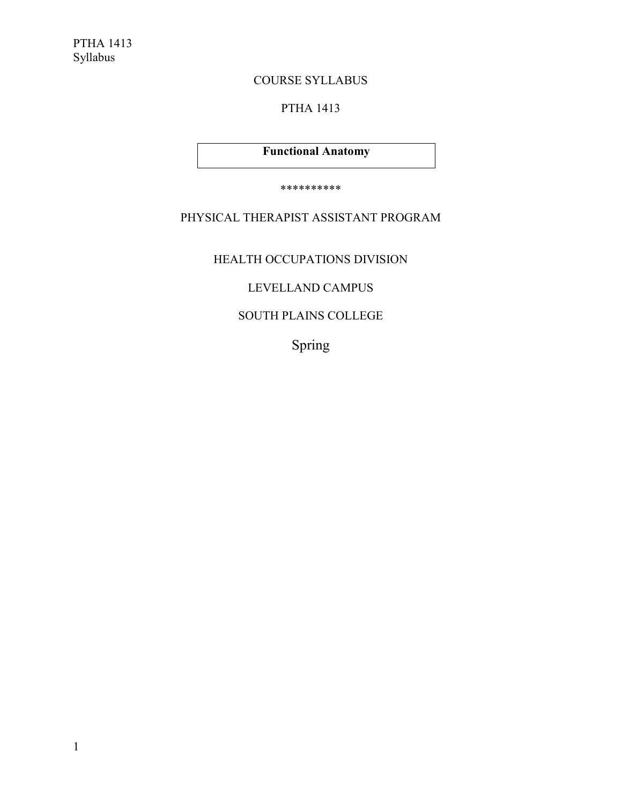# COURSE SYLLABUS

# PTHA 1413

# **Functional Anatomy**

\*\*\*\*\*\*\*\*\*\*

# PHYSICAL THERAPIST ASSISTANT PROGRAM

HEALTH OCCUPATIONS DIVISION

# LEVELLAND CAMPUS

# SOUTH PLAINS COLLEGE

Spring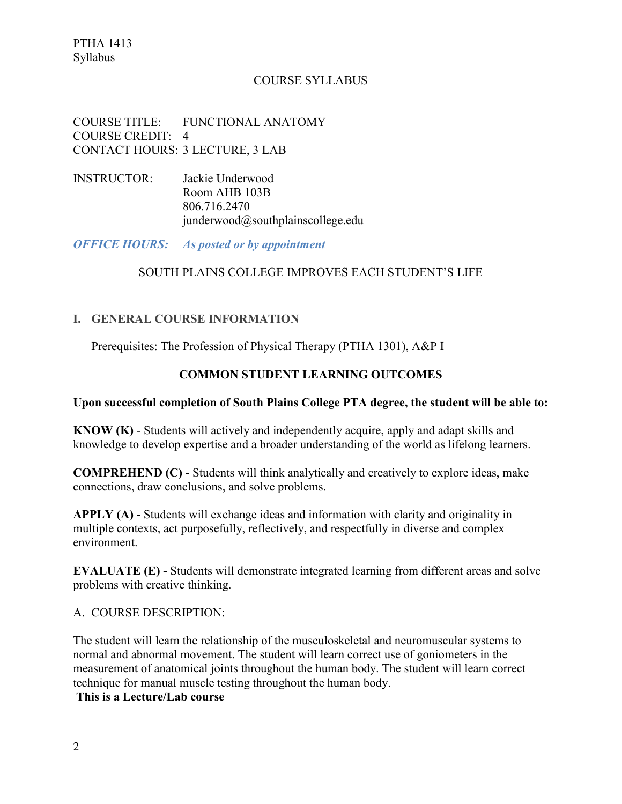PTHA 1413 Syllabus

### COURSE SYLLABUS

COURSE TITLE: FUNCTIONAL ANATOMY COURSE CREDIT: 4 CONTACT HOURS: 3 LECTURE, 3 LAB

INSTRUCTOR: Jackie Underwood Room AHB 103B 806.716.2470 junderwood@southplainscollege.edu

*OFFICE HOURS: As posted or by appointment*

#### SOUTH PLAINS COLLEGE IMPROVES EACH STUDENT'S LIFE

# **I. GENERAL COURSE INFORMATION**

Prerequisites: The Profession of Physical Therapy (PTHA 1301), A&P I

## **COMMON STUDENT LEARNING OUTCOMES**

### **Upon successful completion of South Plains College PTA degree, the student will be able to:**

**KNOW (K)** - Students will actively and independently acquire, apply and adapt skills and knowledge to develop expertise and a broader understanding of the world as lifelong learners.

**COMPREHEND (C) -** Students will think analytically and creatively to explore ideas, make connections, draw conclusions, and solve problems.

**APPLY (A) -** Students will exchange ideas and information with clarity and originality in multiple contexts, act purposefully, reflectively, and respectfully in diverse and complex environment.

**EVALUATE (E)** - Students will demonstrate integrated learning from different areas and solve problems with creative thinking.

A. COURSE DESCRIPTION:

The student will learn the relationship of the musculoskeletal and neuromuscular systems to normal and abnormal movement. The student will learn correct use of goniometers in the measurement of anatomical joints throughout the human body. The student will learn correct technique for manual muscle testing throughout the human body.

**This is a Lecture/Lab course**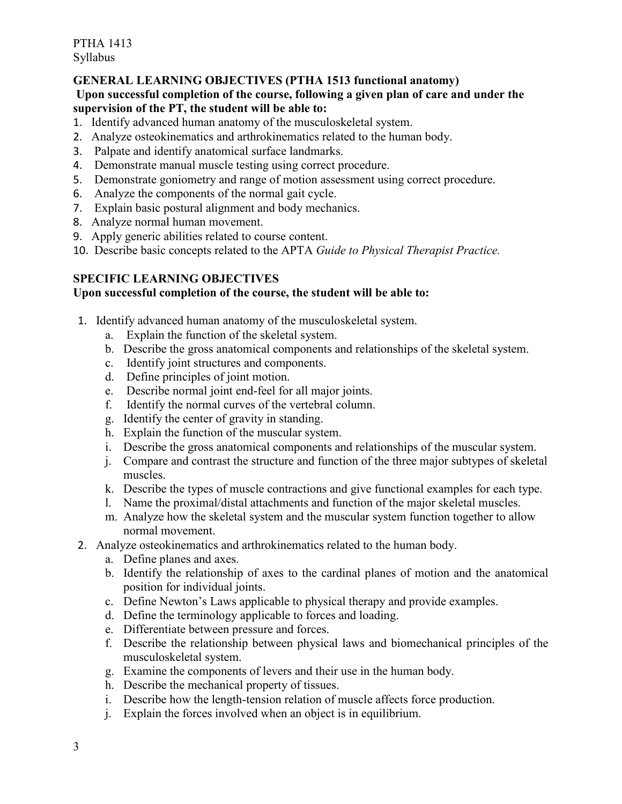PTHA 1413 Syllabus

## **GENERAL LEARNING OBJECTIVES (PTHA 1513 functional anatomy)**

### **Upon successful completion of the course, following a given plan of care and under the supervision of the PT, the student will be able to:**

- 1. Identify advanced human anatomy of the musculoskeletal system.
- 2. Analyze osteokinematics and arthrokinematics related to the human body.
- 3. Palpate and identify anatomical surface landmarks.
- 4. Demonstrate manual muscle testing using correct procedure.
- 5. Demonstrate goniometry and range of motion assessment using correct procedure.
- 6. Analyze the components of the normal gait cycle.
- 7. Explain basic postural alignment and body mechanics.
- 8. Analyze normal human movement.
- 9. Apply generic abilities related to course content.
- 10. Describe basic concepts related to the APTA *Guide to Physical Therapist Practice.*

# **SPECIFIC LEARNING OBJECTIVES**

# **Upon successful completion of the course, the student will be able to:**

- 1. Identify advanced human anatomy of the musculoskeletal system.
	- a. Explain the function of the skeletal system.
	- b. Describe the gross anatomical components and relationships of the skeletal system.
	- c. Identify joint structures and components.
	- d. Define principles of joint motion.
	- e. Describe normal joint end-feel for all major joints.
	- f. Identify the normal curves of the vertebral column.
	- g. Identify the center of gravity in standing.
	- h. Explain the function of the muscular system.
	- i. Describe the gross anatomical components and relationships of the muscular system.
	- j. Compare and contrast the structure and function of the three major subtypes of skeletal muscles.
	- k. Describe the types of muscle contractions and give functional examples for each type.
	- l. Name the proximal/distal attachments and function of the major skeletal muscles.
	- m. Analyze how the skeletal system and the muscular system function together to allow normal movement.
- 2. Analyze osteokinematics and arthrokinematics related to the human body.
	- a. Define planes and axes.
	- b. Identify the relationship of axes to the cardinal planes of motion and the anatomical position for individual joints.
	- c. Define Newton's Laws applicable to physical therapy and provide examples.
	- d. Define the terminology applicable to forces and loading.
	- e. Differentiate between pressure and forces.
	- f. Describe the relationship between physical laws and biomechanical principles of the musculoskeletal system.
	- g. Examine the components of levers and their use in the human body.
	- h. Describe the mechanical property of tissues.
	- i. Describe how the length-tension relation of muscle affects force production.
	- j. Explain the forces involved when an object is in equilibrium.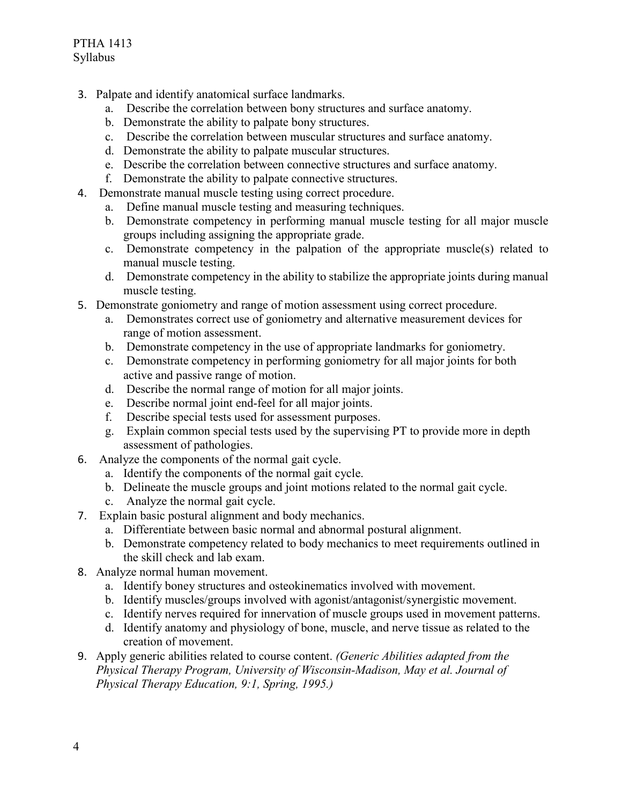- 3. Palpate and identify anatomical surface landmarks.
	- a. Describe the correlation between bony structures and surface anatomy.
	- b. Demonstrate the ability to palpate bony structures.
	- c. Describe the correlation between muscular structures and surface anatomy.
	- d. Demonstrate the ability to palpate muscular structures.
	- e. Describe the correlation between connective structures and surface anatomy.
	- f. Demonstrate the ability to palpate connective structures.
- 4. Demonstrate manual muscle testing using correct procedure.
	- a. Define manual muscle testing and measuring techniques.
	- b. Demonstrate competency in performing manual muscle testing for all major muscle groups including assigning the appropriate grade.
	- c. Demonstrate competency in the palpation of the appropriate muscle(s) related to manual muscle testing.
	- d. Demonstrate competency in the ability to stabilize the appropriate joints during manual muscle testing.
- 5. Demonstrate goniometry and range of motion assessment using correct procedure.
	- a. Demonstrates correct use of goniometry and alternative measurement devices for range of motion assessment.
	- b. Demonstrate competency in the use of appropriate landmarks for goniometry.
	- c. Demonstrate competency in performing goniometry for all major joints for both active and passive range of motion.
	- d. Describe the normal range of motion for all major joints.
	- e. Describe normal joint end-feel for all major joints.
	- f. Describe special tests used for assessment purposes.
	- g. Explain common special tests used by the supervising PT to provide more in depth assessment of pathologies.
- 6. Analyze the components of the normal gait cycle.
	- a. Identify the components of the normal gait cycle.
	- b. Delineate the muscle groups and joint motions related to the normal gait cycle.
	- c. Analyze the normal gait cycle.
- 7. Explain basic postural alignment and body mechanics.
	- a. Differentiate between basic normal and abnormal postural alignment.
	- b. Demonstrate competency related to body mechanics to meet requirements outlined in the skill check and lab exam.
- 8. Analyze normal human movement.
	- a. Identify boney structures and osteokinematics involved with movement.
	- b. Identify muscles/groups involved with agonist/antagonist/synergistic movement.
	- c. Identify nerves required for innervation of muscle groups used in movement patterns.
	- d. Identify anatomy and physiology of bone, muscle, and nerve tissue as related to the creation of movement.
- 9. Apply generic abilities related to course content. *(Generic Abilities adapted from the Physical Therapy Program, University of Wisconsin-Madison, May et al. Journal of Physical Therapy Education, 9:1, Spring, 1995.)*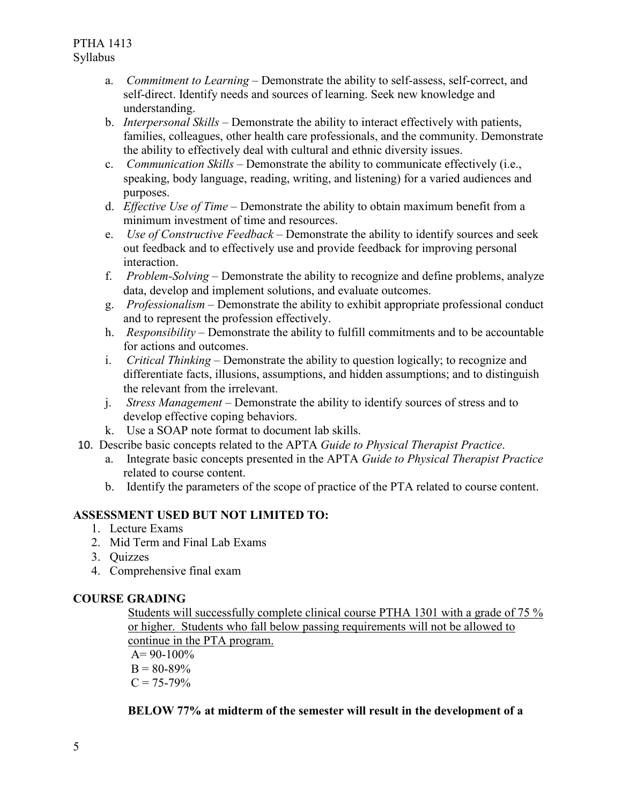- a. *Commitment to Learning*  Demonstrate the ability to self-assess, self-correct, and self-direct. Identify needs and sources of learning. Seek new knowledge and understanding.
- b. *Interpersonal Skills*  Demonstrate the ability to interact effectively with patients, families, colleagues, other health care professionals, and the community. Demonstrate the ability to effectively deal with cultural and ethnic diversity issues.
- c. *Communication Skills*  Demonstrate the ability to communicate effectively (i.e., speaking, body language, reading, writing, and listening) for a varied audiences and purposes.
- d. *Effective Use of Time*  Demonstrate the ability to obtain maximum benefit from a minimum investment of time and resources.
- e. *Use of Constructive Feedback*  Demonstrate the ability to identify sources and seek out feedback and to effectively use and provide feedback for improving personal interaction.
- f. *Problem-Solving*  Demonstrate the ability to recognize and define problems, analyze data, develop and implement solutions, and evaluate outcomes.
- g. *Professionalism*  Demonstrate the ability to exhibit appropriate professional conduct and to represent the profession effectively.
- h. *Responsibility*  Demonstrate the ability to fulfill commitments and to be accountable for actions and outcomes.
- i. *Critical Thinking*  Demonstrate the ability to question logically; to recognize and differentiate facts, illusions, assumptions, and hidden assumptions; and to distinguish the relevant from the irrelevant.
- j. *Stress Management*  Demonstrate the ability to identify sources of stress and to develop effective coping behaviors.
- k. Use a SOAP note format to document lab skills.
- 10. Describe basic concepts related to the APTA *Guide to Physical Therapist Practice*.
	- a. Integrate basic concepts presented in the APTA *Guide to Physical Therapist Practice*  related to course content.
	- b. Identify the parameters of the scope of practice of the PTA related to course content.

# **ASSESSMENT USED BUT NOT LIMITED TO:**

- 1. Lecture Exams
- 2. Mid Term and Final Lab Exams
- 3. Quizzes
- 4. Comprehensive final exam

# **COURSE GRADING**

Students will successfully complete clinical course PTHA 1301 with a grade of 75 % or higher. Students who fall below passing requirements will not be allowed to continue in the PTA program.

 $A= 90-100\%$  $B = 80-89%$  $C = 75 - 79\%$ 

# **BELOW 77% at midterm of the semester will result in the development of a**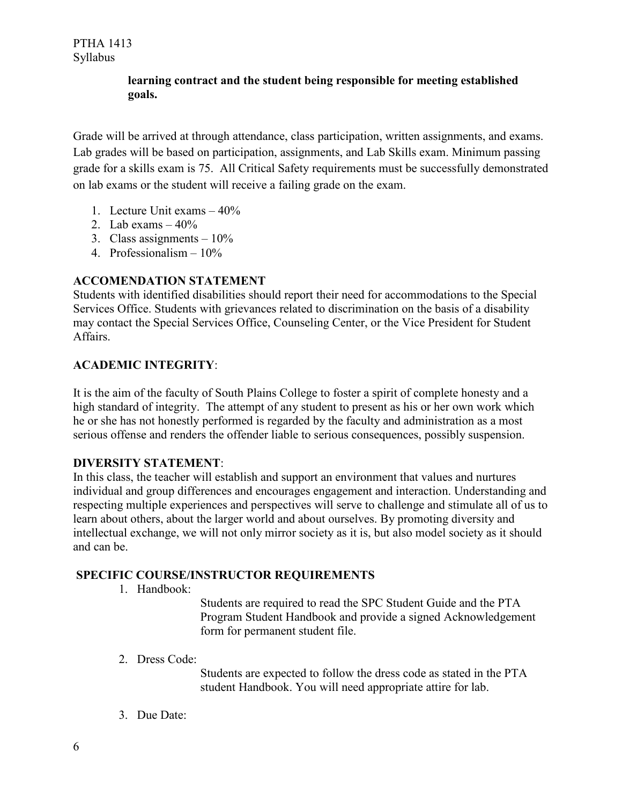# **learning contract and the student being responsible for meeting established goals.**

Grade will be arrived at through attendance, class participation, written assignments, and exams. Lab grades will be based on participation, assignments, and Lab Skills exam. Minimum passing grade for a skills exam is 75. All Critical Safety requirements must be successfully demonstrated on lab exams or the student will receive a failing grade on the exam.

- 1. Lecture Unit exams 40%
- 2. Lab exams  $-40\%$
- 3. Class assignments  $-10\%$
- 4. Professionalism 10%

# **ACCOMENDATION STATEMENT**

Students with identified disabilities should report their need for accommodations to the Special Services Office. Students with grievances related to discrimination on the basis of a disability may contact the Special Services Office, Counseling Center, or the Vice President for Student Affairs.

## **ACADEMIC INTEGRITY**:

It is the aim of the faculty of South Plains College to foster a spirit of complete honesty and a high standard of integrity. The attempt of any student to present as his or her own work which he or she has not honestly performed is regarded by the faculty and administration as a most serious offense and renders the offender liable to serious consequences, possibly suspension.

#### **DIVERSITY STATEMENT**:

In this class, the teacher will establish and support an environment that values and nurtures individual and group differences and encourages engagement and interaction. Understanding and respecting multiple experiences and perspectives will serve to challenge and stimulate all of us to learn about others, about the larger world and about ourselves. By promoting diversity and intellectual exchange, we will not only mirror society as it is, but also model society as it should and can be.

### **SPECIFIC COURSE/INSTRUCTOR REQUIREMENTS**

1. Handbook:

Students are required to read the SPC Student Guide and the PTA Program Student Handbook and provide a signed Acknowledgement form for permanent student file.

2. Dress Code:

Students are expected to follow the dress code as stated in the PTA student Handbook. You will need appropriate attire for lab.

3. Due Date: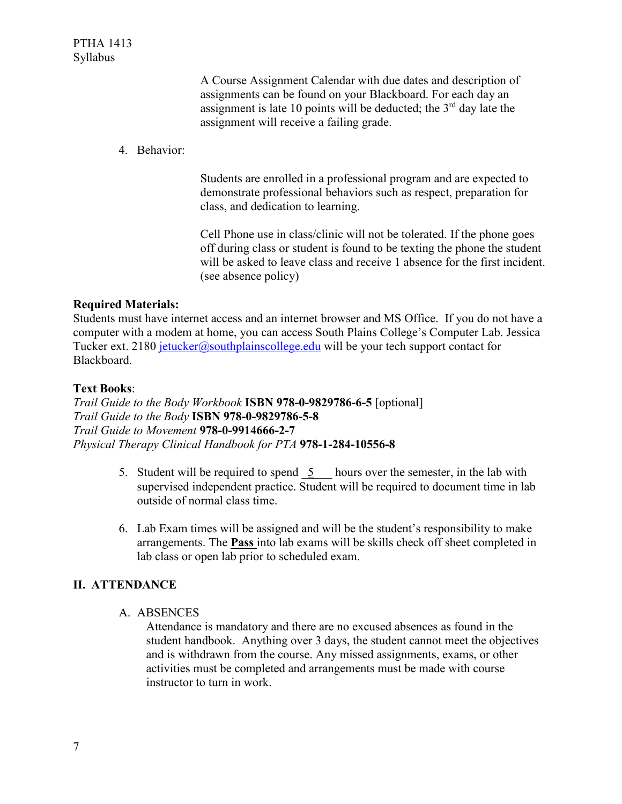A Course Assignment Calendar with due dates and description of assignments can be found on your Blackboard. For each day an assignment is late 10 points will be deducted; the  $3<sup>rd</sup>$  day late the assignment will receive a failing grade.

4. Behavior:

Students are enrolled in a professional program and are expected to demonstrate professional behaviors such as respect, preparation for class, and dedication to learning.

Cell Phone use in class/clinic will not be tolerated. If the phone goes off during class or student is found to be texting the phone the student will be asked to leave class and receive 1 absence for the first incident. (see absence policy)

#### **Required Materials:**

Students must have internet access and an internet browser and MS Office. If you do not have a computer with a modem at home, you can access South Plains College's Computer Lab. Jessica Tucker ext. 2180 [jetucker@southplainscollege.edu](mailto:jetucker@southplainscollege.edu) will be your tech support contact for Blackboard.

#### **Text Books**:

*Trail Guide to the Body Workbook* **ISBN 978-0-9829786-6-5** [optional] *Trail Guide to the Body* **ISBN 978-0-9829786-5-8** *Trail Guide to Movement* **978-0-9914666-2-7** *Physical Therapy Clinical Handbook for PTA* **978-1-284-10556-8**

- 5. Student will be required to spend 5 hours over the semester, in the lab with supervised independent practice. Student will be required to document time in lab outside of normal class time.
- 6. Lab Exam times will be assigned and will be the student's responsibility to make arrangements. The **Pass** into lab exams will be skills check off sheet completed in lab class or open lab prior to scheduled exam.

# **II. ATTENDANCE**

A. ABSENCES

Attendance is mandatory and there are no excused absences as found in the student handbook. Anything over 3 days, the student cannot meet the objectives and is withdrawn from the course. Any missed assignments, exams, or other activities must be completed and arrangements must be made with course instructor to turn in work.